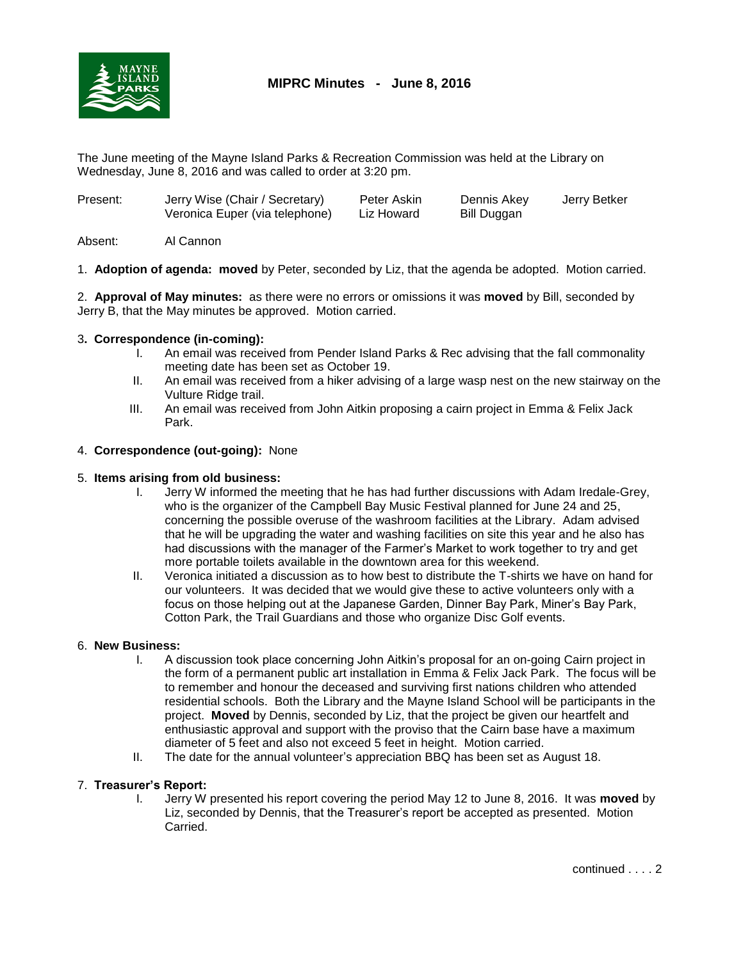

# **MIPRC Minutes - June 8, 2016**

The June meeting of the Mayne Island Parks & Recreation Commission was held at the Library on Wednesday, June 8, 2016 and was called to order at 3:20 pm.

| Present: | Jerry Wise (Chair / Secretary)<br>Veronica Euper (via telephone) | Peter Askin<br>Liz Howard | Dennis Akey<br>Bill Duggan | Jerry Betker |
|----------|------------------------------------------------------------------|---------------------------|----------------------------|--------------|
|          |                                                                  |                           |                            |              |

Absent: Al Cannon

1. **Adoption of agenda: moved** by Peter, seconded by Liz, that the agenda be adopted. Motion carried.

2. **Approval of May minutes:** as there were no errors or omissions it was **moved** by Bill, seconded by Jerry B, that the May minutes be approved. Motion carried.

## 3**. Correspondence (in-coming):**

- I. An email was received from Pender Island Parks & Rec advising that the fall commonality meeting date has been set as October 19.
- II. An email was received from a hiker advising of a large wasp nest on the new stairway on the Vulture Ridge trail.
- III. An email was received from John Aitkin proposing a cairn project in Emma & Felix Jack Park.

## 4. **Correspondence (out-going):** None

### 5. **Items arising from old business:**

- I. Jerry W informed the meeting that he has had further discussions with Adam Iredale-Grey, who is the organizer of the Campbell Bay Music Festival planned for June 24 and 25, concerning the possible overuse of the washroom facilities at the Library. Adam advised that he will be upgrading the water and washing facilities on site this year and he also has had discussions with the manager of the Farmer's Market to work together to try and get more portable toilets available in the downtown area for this weekend.
- II. Veronica initiated a discussion as to how best to distribute the T-shirts we have on hand for our volunteers. It was decided that we would give these to active volunteers only with a focus on those helping out at the Japanese Garden, Dinner Bay Park, Miner's Bay Park, Cotton Park, the Trail Guardians and those who organize Disc Golf events.

### 6. **New Business:**

- I. A discussion took place concerning John Aitkin's proposal for an on-going Cairn project in the form of a permanent public art installation in Emma & Felix Jack Park. The focus will be to remember and honour the deceased and surviving first nations children who attended residential schools. Both the Library and the Mayne Island School will be participants in the project. **Moved** by Dennis, seconded by Liz, that the project be given our heartfelt and enthusiastic approval and support with the proviso that the Cairn base have a maximum diameter of 5 feet and also not exceed 5 feet in height. Motion carried.
- II. The date for the annual volunteer's appreciation BBQ has been set as August 18.

### 7. **Treasurer's Report:**

I. Jerry W presented his report covering the period May 12 to June 8, 2016. It was **moved** by Liz, seconded by Dennis, that the Treasurer's report be accepted as presented. Motion Carried.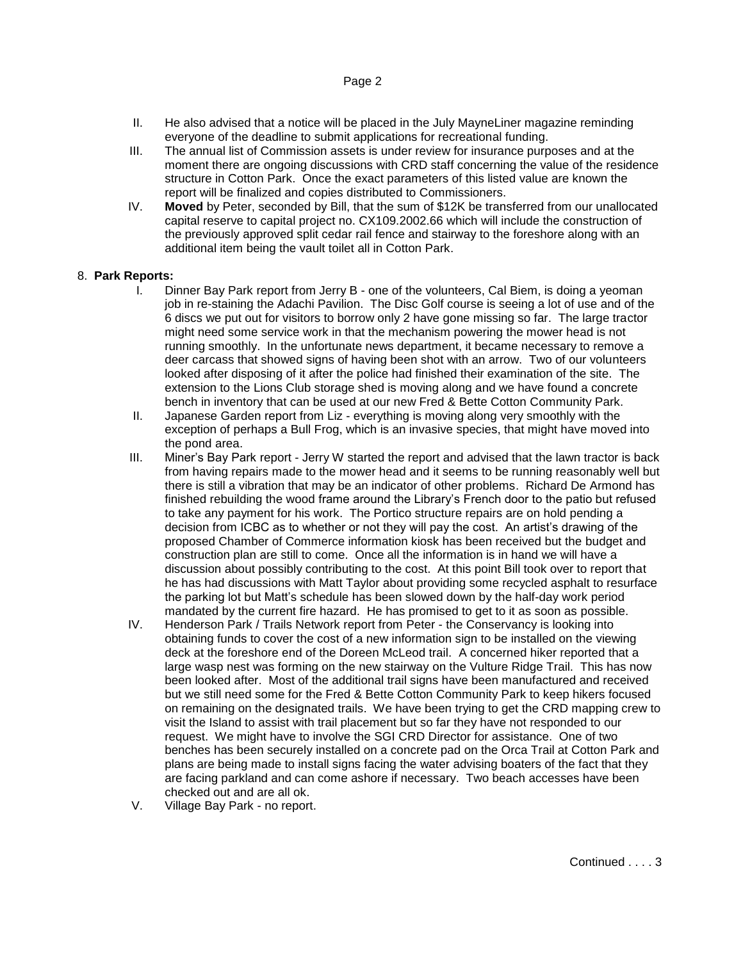### Page 2

- II. He also advised that a notice will be placed in the July MayneLiner magazine reminding everyone of the deadline to submit applications for recreational funding.
- III. The annual list of Commission assets is under review for insurance purposes and at the moment there are ongoing discussions with CRD staff concerning the value of the residence structure in Cotton Park. Once the exact parameters of this listed value are known the report will be finalized and copies distributed to Commissioners.
- IV. **Moved** by Peter, seconded by Bill, that the sum of \$12K be transferred from our unallocated capital reserve to capital project no. CX109.2002.66 which will include the construction of the previously approved split cedar rail fence and stairway to the foreshore along with an additional item being the vault toilet all in Cotton Park.

### 8. **Park Reports:**

- I. Dinner Bay Park report from Jerry B one of the volunteers, Cal Biem, is doing a yeoman job in re-staining the Adachi Pavilion. The Disc Golf course is seeing a lot of use and of the 6 discs we put out for visitors to borrow only 2 have gone missing so far. The large tractor might need some service work in that the mechanism powering the mower head is not running smoothly. In the unfortunate news department, it became necessary to remove a deer carcass that showed signs of having been shot with an arrow. Two of our volunteers looked after disposing of it after the police had finished their examination of the site. The extension to the Lions Club storage shed is moving along and we have found a concrete bench in inventory that can be used at our new Fred & Bette Cotton Community Park.
- II. Japanese Garden report from Liz everything is moving along very smoothly with the exception of perhaps a Bull Frog, which is an invasive species, that might have moved into the pond area.
- III. Miner's Bay Park report Jerry W started the report and advised that the lawn tractor is back from having repairs made to the mower head and it seems to be running reasonably well but there is still a vibration that may be an indicator of other problems. Richard De Armond has finished rebuilding the wood frame around the Library's French door to the patio but refused to take any payment for his work. The Portico structure repairs are on hold pending a decision from ICBC as to whether or not they will pay the cost. An artist's drawing of the proposed Chamber of Commerce information kiosk has been received but the budget and construction plan are still to come. Once all the information is in hand we will have a discussion about possibly contributing to the cost. At this point Bill took over to report that he has had discussions with Matt Taylor about providing some recycled asphalt to resurface the parking lot but Matt's schedule has been slowed down by the half-day work period mandated by the current fire hazard. He has promised to get to it as soon as possible.
- IV. Henderson Park / Trails Network report from Peter the Conservancy is looking into obtaining funds to cover the cost of a new information sign to be installed on the viewing deck at the foreshore end of the Doreen McLeod trail. A concerned hiker reported that a large wasp nest was forming on the new stairway on the Vulture Ridge Trail. This has now been looked after. Most of the additional trail signs have been manufactured and received but we still need some for the Fred & Bette Cotton Community Park to keep hikers focused on remaining on the designated trails. We have been trying to get the CRD mapping crew to visit the Island to assist with trail placement but so far they have not responded to our request. We might have to involve the SGI CRD Director for assistance. One of two benches has been securely installed on a concrete pad on the Orca Trail at Cotton Park and plans are being made to install signs facing the water advising boaters of the fact that they are facing parkland and can come ashore if necessary. Two beach accesses have been checked out and are all ok.
- V. Village Bay Park no report.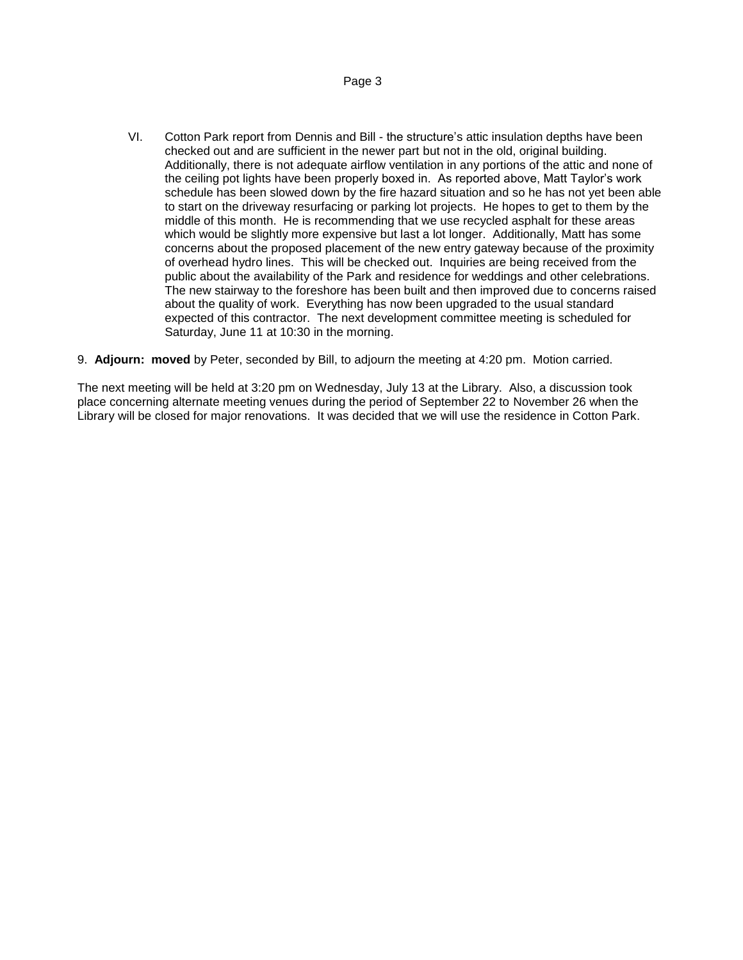VI. Cotton Park report from Dennis and Bill - the structure's attic insulation depths have been checked out and are sufficient in the newer part but not in the old, original building. Additionally, there is not adequate airflow ventilation in any portions of the attic and none of the ceiling pot lights have been properly boxed in. As reported above, Matt Taylor's work schedule has been slowed down by the fire hazard situation and so he has not yet been able to start on the driveway resurfacing or parking lot projects. He hopes to get to them by the middle of this month. He is recommending that we use recycled asphalt for these areas which would be slightly more expensive but last a lot longer. Additionally, Matt has some concerns about the proposed placement of the new entry gateway because of the proximity of overhead hydro lines. This will be checked out. Inquiries are being received from the public about the availability of the Park and residence for weddings and other celebrations. The new stairway to the foreshore has been built and then improved due to concerns raised about the quality of work. Everything has now been upgraded to the usual standard expected of this contractor. The next development committee meeting is scheduled for Saturday, June 11 at 10:30 in the morning.

## 9. **Adjourn: moved** by Peter, seconded by Bill, to adjourn the meeting at 4:20 pm. Motion carried.

The next meeting will be held at 3:20 pm on Wednesday, July 13 at the Library. Also, a discussion took place concerning alternate meeting venues during the period of September 22 to November 26 when the Library will be closed for major renovations. It was decided that we will use the residence in Cotton Park.